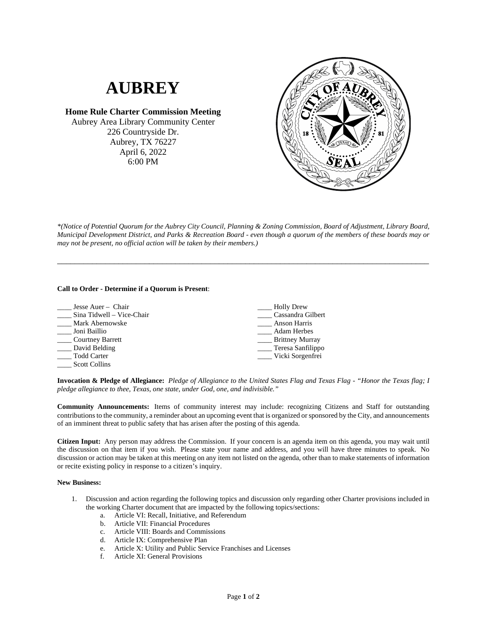## **AUBREY**

**Home Rule Charter Commission Meeting** Aubrey Area Library Community Center 226 Countryside Dr. Aubrey, TX 76227 April 6, 2022 6:00 PM



*\*(Notice of Potential Quorum for the Aubrey City Council, Planning & Zoning Commission, Board of Adjustment, Library Board, Municipal Development District, and Parks & Recreation Board - even though a quorum of the members of these boards may or may not be present, no official action will be taken by their members.)*

\_\_\_\_\_\_\_\_\_\_\_\_\_\_\_\_\_\_\_\_\_\_\_\_\_\_\_\_\_\_\_\_\_\_\_\_\_\_\_\_\_\_\_\_\_\_\_\_\_\_\_\_\_\_\_\_\_\_\_\_\_\_\_\_\_\_\_\_\_\_\_\_\_\_\_\_\_\_\_\_\_\_\_\_\_

## **Call to Order - Determine if a Quorum is Present**:

| Jesse Auer - Chair        | <b>Holly Drew</b>      |
|---------------------------|------------------------|
| Sina Tidwell - Vice-Chair | Cassandra Gilbert      |
| Mark Abernowske           | Anson Harris           |
| Joni Baillio              | <b>Adam Herbes</b>     |
| Courtney Barrett          | <b>Brittney Murray</b> |
| David Belding             | Teresa Sanfilippo      |
| Todd Carter               | ____ Vicki Sorgenfrei  |
| <b>Scott Collins</b>      |                        |

**Invocation & Pledge of Allegiance:** *Pledge of Allegiance to the United States Flag and Texas Flag - "Honor the Texas flag; I pledge allegiance to thee, Texas, one state, under God, one, and indivisible."*

**Community Announcements:** Items of community interest may include: recognizing Citizens and Staff for outstanding contributions to the community, a reminder about an upcoming event that is organized or sponsored by the City, and announcements of an imminent threat to public safety that has arisen after the posting of this agenda.

**Citizen Input:** Any person may address the Commission. If your concern is an agenda item on this agenda, you may wait until the discussion on that item if you wish. Please state your name and address, and you will have three minutes to speak. No discussion or action may be taken at this meeting on any item not listed on the agenda, other than to make statements of information or recite existing policy in response to a citizen's inquiry.

## **New Business:**

- 1. Discussion and action regarding the following topics and discussion only regarding other Charter provisions included in the working Charter document that are impacted by the following topics/sections:
	- a. Article VI: Recall, Initiative, and Referendum
	- b. Article VII: Financial Procedures
	- c. Article VIII: Boards and Commissions
	- d. Article IX: Comprehensive Plan
	- e. Article X: Utility and Public Service Franchises and Licenses
	- f. Article XI: General Provisions